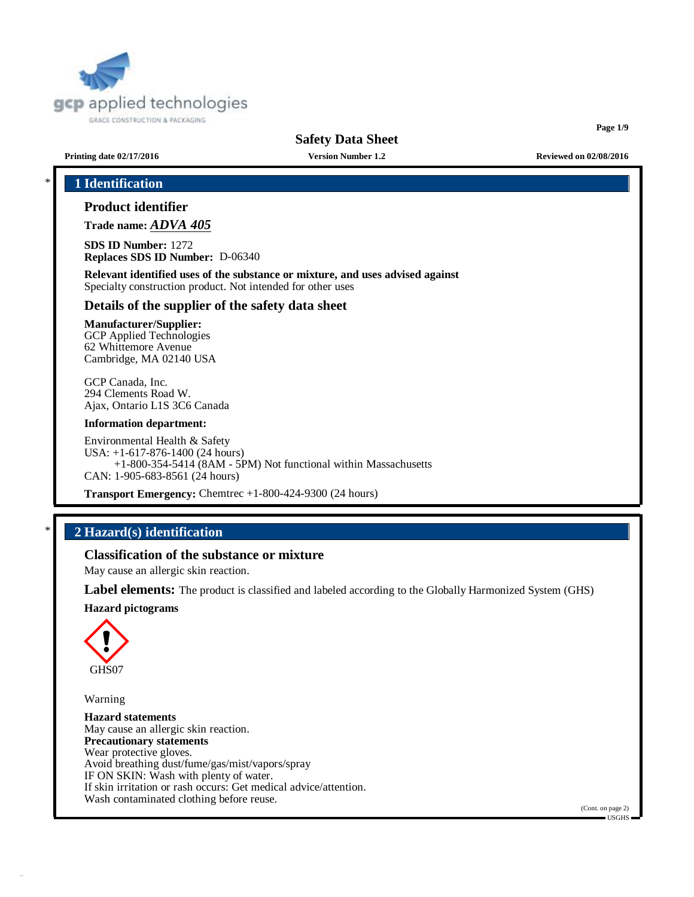

**Page 1/9**

**Printing date 02/17/2016 Version Number 1.2 Reviewed on 02/08/2016**

# \* **1 Identification**

# **Product identifier**

**Trade name:** *ADVA 405*

**SDS ID Number:** 1272 **Replaces SDS ID Number:** D-06340

**Relevant identified uses of the substance or mixture, and uses advised against** Specialty construction product. Not intended for other uses

# **Details of the supplier of the safety data sheet**

**Manufacturer/Supplier:** GCP Applied Technologies 62 Whittemore Avenue Cambridge, MA 02140 USA

GCP Canada, Inc. 294 Clements Road W. Ajax, Ontario L1S 3C6 Canada

#### **Information department:**

Environmental Health & Safety USA: +1-617-876-1400 (24 hours) +1-800-354-5414 (8AM - 5PM) Not functional within Massachusetts CAN: 1-905-683-8561 (24 hours)

**Transport Emergency:** Chemtrec +1-800-424-9300 (24 hours)

# \* **2 Hazard(s) identification**

# **Classification of the substance or mixture**

May cause an allergic skin reaction.

**Label elements:** The product is classified and labeled according to the Globally Harmonized System (GHS)

#### **Hazard pictograms**



Warning

**Hazard statements** May cause an allergic skin reaction. **Precautionary statements** Wear protective gloves. Avoid breathing dust/fume/gas/mist/vapors/spray IF ON SKIN: Wash with plenty of water. If skin irritation or rash occurs: Get medical advice/attention. Wash contaminated clothing before reuse.

(Cont. on page 2)  $=$  USGHS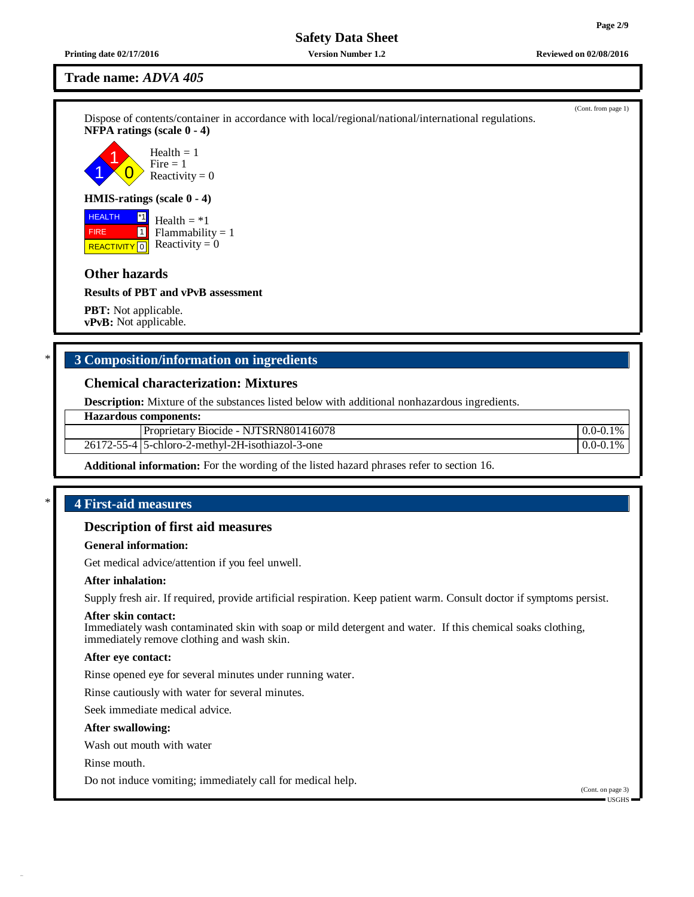(Cont. from page 1)

**Safety Data Sheet**

**Printing date 02/17/2016 Version Number 1.2 Reviewed on 02/08/2016**

**Trade name:** *ADVA 405*

Dispose of contents/container in accordance with local/regional/national/international regulations. **NFPA ratings (scale 0 - 4)**

1 1  $\overline{0}$ Health  $= 1$  $Fire = 1$ Reactivity  $= 0$ 

### **HMIS-ratings (scale 0 - 4)**

 HEALTH FIRE **REACTIVITY** 0 \*1 1 Health  $= *1$  $Flammability = 1$ Reactivity  $= 0$ 

# **Other hazards**

**Results of PBT and vPvB assessment**

**PBT:** Not applicable. **vPvB:** Not applicable.

# \* **3 Composition/information on ingredients**

### **Chemical characterization: Mixtures**

**Description:** Mixture of the substances listed below with additional nonhazardous ingredients.

#### **Hazardous components:**

Proprietary Biocide - NJTSRN801416078 0.0-0.1%

26172-55-4 5-chloro-2-methyl-2H-isothiazol-3-one 0.0-0.1%

**Additional information:** For the wording of the listed hazard phrases refer to section 16.

# \* **4 First-aid measures**

# **Description of first aid measures**

#### **General information:**

Get medical advice/attention if you feel unwell.

### **After inhalation:**

Supply fresh air. If required, provide artificial respiration. Keep patient warm. Consult doctor if symptoms persist.

#### **After skin contact:**

Immediately wash contaminated skin with soap or mild detergent and water. If this chemical soaks clothing, immediately remove clothing and wash skin.

#### **After eye contact:**

Rinse opened eye for several minutes under running water.

Rinse cautiously with water for several minutes.

Seek immediate medical advice.

#### **After swallowing:**

Wash out mouth with water

Rinse mouth.

Do not induce vomiting; immediately call for medical help.

(Cont. on page 3) USGHS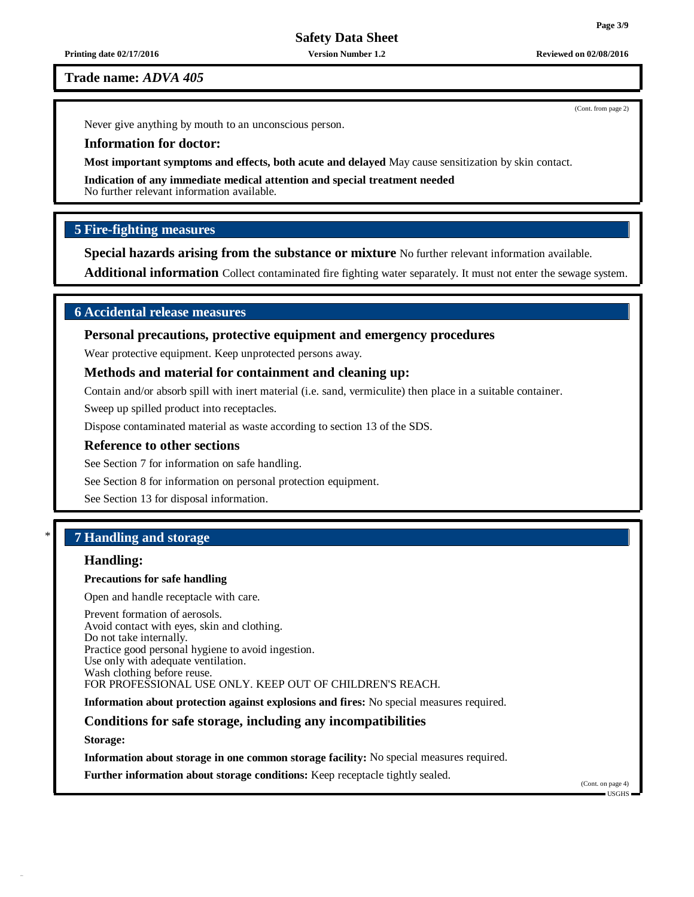**Printing date 02/17/2016 Version Number 1.2 Reviewed on 02/08/2016**

#### **Trade name:** *ADVA 405*

Never give anything by mouth to an unconscious person.

#### **Information for doctor:**

**Most important symptoms and effects, both acute and delayed** May cause sensitization by skin contact.

**Indication of any immediate medical attention and special treatment needed**

No further relevant information available.

# **5 Fire-fighting measures**

**Special hazards arising from the substance or mixture** No further relevant information available.

**Additional information** Collect contaminated fire fighting water separately. It must not enter the sewage system.

# **6 Accidental release measures**

# **Personal precautions, protective equipment and emergency procedures**

Wear protective equipment. Keep unprotected persons away.

### **Methods and material for containment and cleaning up:**

Contain and/or absorb spill with inert material (i.e. sand, vermiculite) then place in a suitable container.

Sweep up spilled product into receptacles.

Dispose contaminated material as waste according to section 13 of the SDS.

#### **Reference to other sections**

See Section 7 for information on safe handling.

See Section 8 for information on personal protection equipment.

See Section 13 for disposal information.

# \* **7 Handling and storage**

# **Handling:**

#### **Precautions for safe handling**

Open and handle receptacle with care.

Prevent formation of aerosols. Avoid contact with eyes, skin and clothing. Do not take internally. Practice good personal hygiene to avoid ingestion. Use only with adequate ventilation. Wash clothing before reuse. FOR PROFESSIONAL USE ONLY. KEEP OUT OF CHILDREN'S REACH.

**Information about protection against explosions and fires:** No special measures required.

#### **Conditions for safe storage, including any incompatibilities**

**Storage:**

**Information about storage in one common storage facility:** No special measures required.

**Further information about storage conditions:** Keep receptacle tightly sealed.

**Page 3/9**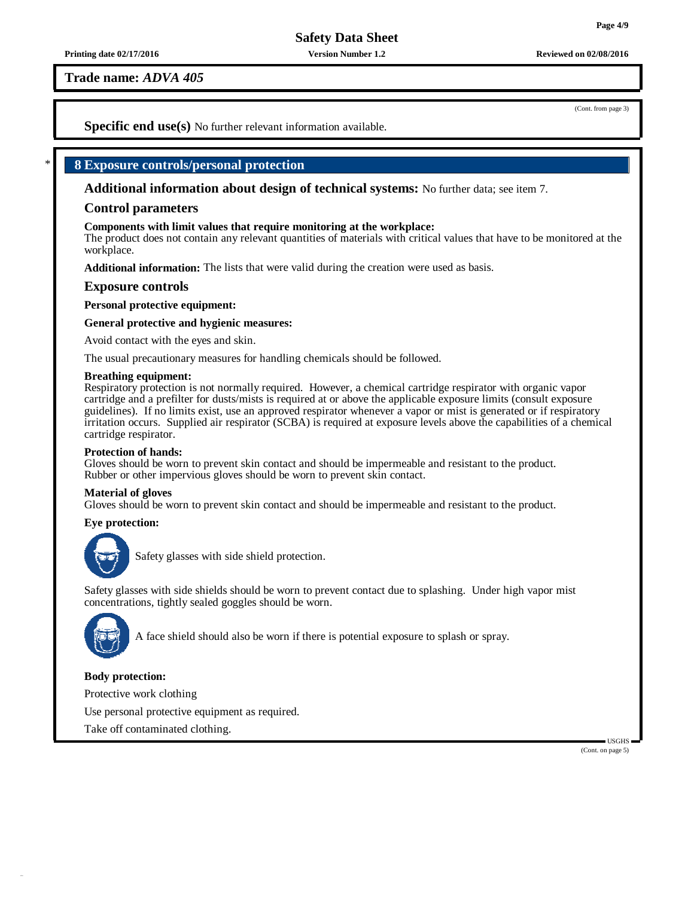**Trade name:** *ADVA 405*

(Cont. from page 3)

**Specific end use(s)** No further relevant information available.

# \* **8 Exposure controls/personal protection**

**Additional information about design of technical systems:** No further data; see item 7.

# **Control parameters**

#### **Components with limit values that require monitoring at the workplace:**

The product does not contain any relevant quantities of materials with critical values that have to be monitored at the workplace.

**Additional information:** The lists that were valid during the creation were used as basis.

### **Exposure controls**

**Personal protective equipment:**

#### **General protective and hygienic measures:**

Avoid contact with the eyes and skin.

The usual precautionary measures for handling chemicals should be followed.

#### **Breathing equipment:**

Respiratory protection is not normally required. However, a chemical cartridge respirator with organic vapor cartridge and a prefilter for dusts/mists is required at or above the applicable exposure limits (consult exposure guidelines). If no limits exist, use an approved respirator whenever a vapor or mist is generated or if respiratory irritation occurs. Supplied air respirator (SCBA) is required at exposure levels above the capabilities of a chemical cartridge respirator.

#### **Protection of hands:**

Gloves should be worn to prevent skin contact and should be impermeable and resistant to the product. Rubber or other impervious gloves should be worn to prevent skin contact.

#### **Material of gloves**

Gloves should be worn to prevent skin contact and should be impermeable and resistant to the product.

#### **Eye protection:**



Safety glasses with side shield protection.

Safety glasses with side shields should be worn to prevent contact due to splashing. Under high vapor mist concentrations, tightly sealed goggles should be worn.



A face shield should also be worn if there is potential exposure to splash or spray.

#### **Body protection:**

Protective work clothing

Use personal protective equipment as required.

Take off contaminated clothing.

USGHS (Cont. on page 5)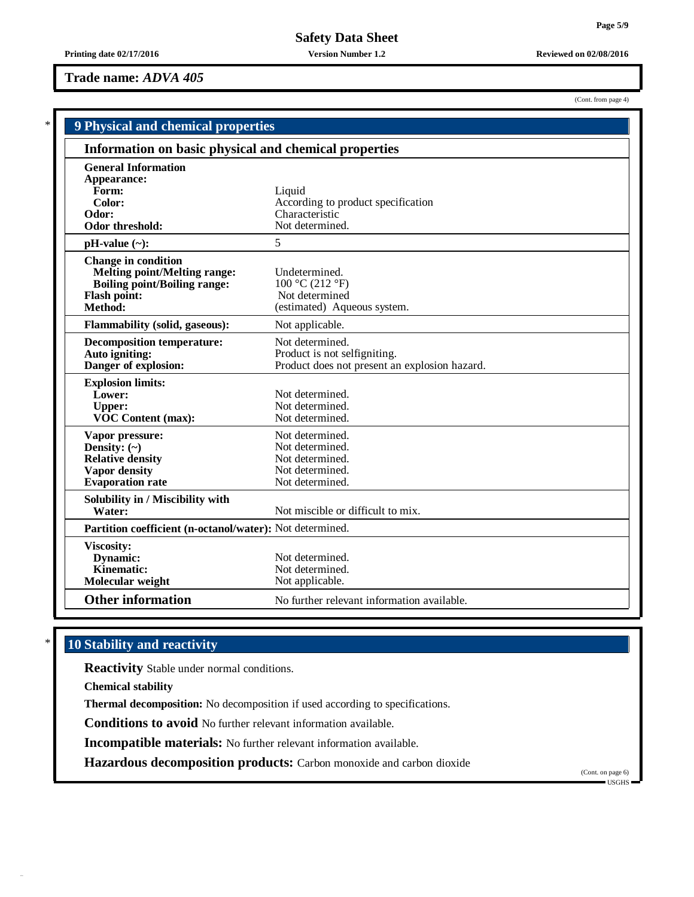# **Trade name:** *ADVA 405*

| (Cont. from page 4) |  |
|---------------------|--|
|---------------------|--|

|                                                                                                                                            | 9 Physical and chemical properties                                                               |  |  |  |  |
|--------------------------------------------------------------------------------------------------------------------------------------------|--------------------------------------------------------------------------------------------------|--|--|--|--|
| Information on basic physical and chemical properties                                                                                      |                                                                                                  |  |  |  |  |
| <b>General Information</b><br>Appearance:<br>Form:<br>Color:<br>Odor:<br>Odor threshold:                                                   | Liquid<br>According to product specification<br>Characteristic<br>Not determined.                |  |  |  |  |
| $pH-value$ (~):                                                                                                                            | 5                                                                                                |  |  |  |  |
| <b>Change in condition</b><br><b>Melting point/Melting range:</b><br><b>Boiling point/Boiling range:</b><br><b>Flash point:</b><br>Method: | Undetermined.<br>100 °C (212 °F)<br>Not determined<br>(estimated) Aqueous system.                |  |  |  |  |
| <b>Flammability (solid, gaseous):</b>                                                                                                      | Not applicable.                                                                                  |  |  |  |  |
| <b>Decomposition temperature:</b><br>Auto igniting:<br>Danger of explosion:                                                                | Not determined.<br>Product is not selfigniting.<br>Product does not present an explosion hazard. |  |  |  |  |
| <b>Explosion limits:</b><br>Lower:<br><b>Upper:</b><br>VOC Content (max):                                                                  | Not determined.<br>Not determined.<br>Not determined.                                            |  |  |  |  |
| Vapor pressure:<br>Density: $(\sim)$<br><b>Relative density</b><br>Vapor density<br><b>Evaporation</b> rate                                | Not determined.<br>Not determined.<br>Not determined.<br>Not determined.<br>Not determined.      |  |  |  |  |
| Solubility in / Miscibility with<br>Water:                                                                                                 | Not miscible or difficult to mix.                                                                |  |  |  |  |
| Partition coefficient (n-octanol/water): Not determined.                                                                                   |                                                                                                  |  |  |  |  |
| <b>Viscosity:</b><br>Dynamic:<br>Kinematic:<br>Molecular weight                                                                            | Not determined.<br>Not determined.<br>Not applicable.                                            |  |  |  |  |
| <b>Other information</b>                                                                                                                   | No further relevant information available.                                                       |  |  |  |  |

# \* **10 Stability and reactivity**

**Reactivity** Stable under normal conditions.

**Chemical stability**

**Thermal decomposition:** No decomposition if used according to specifications.

**Conditions to avoid** No further relevant information available.

**Incompatible materials:** No further relevant information available.

**Hazardous decomposition products:** Carbon monoxide and carbon dioxide

(Cont. on page 6)  $\blacksquare$  USGHS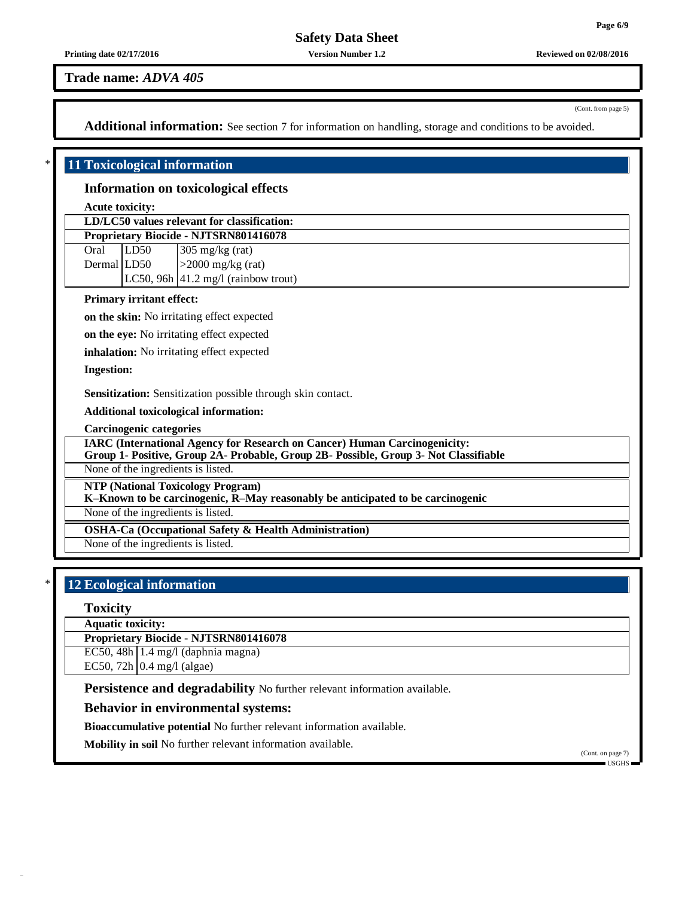#### **Printing date 02/17/2016 Version Number 1.2 Reviewed on 02/08/2016**

#### **Trade name:** *ADVA 405*

(Cont. from page 5)

**Additional information:** See section 7 for information on handling, storage and conditions to be avoided.

# \* **11 Toxicological information**

#### **Information on toxicological effects**

**Acute toxicity:**

| LD/LC50 values relevant for classification:  |                           |                                                                                                                                                                                                                                                 |  |  |
|----------------------------------------------|---------------------------|-------------------------------------------------------------------------------------------------------------------------------------------------------------------------------------------------------------------------------------------------|--|--|
| <b>Proprietary Biocide - NJTSRN801416078</b> |                           |                                                                                                                                                                                                                                                 |  |  |
|                                              | $\overline{\text{LD}}$ 50 |                                                                                                                                                                                                                                                 |  |  |
|                                              |                           | Oral LD50 $\begin{array}{ l l } \hline \text{Oral} & \text{LD50} & \text{305 mg/kg (rat)} \\ \hline \text{Dermal} & \text{LD50} & & & & \text{2000 mg/kg (rat)} \\ \hline \text{LC50, 96h} & 41.2 \text{ mg/l (rainbow trout)} & & \end{array}$ |  |  |
|                                              |                           |                                                                                                                                                                                                                                                 |  |  |

#### **Primary irritant effect:**

**on the skin:** No irritating effect expected

**on the eye:** No irritating effect expected

**inhalation:** No irritating effect expected

**Ingestion:**

**Sensitization:** Sensitization possible through skin contact.

#### **Additional toxicological information:**

**Carcinogenic categories**

**IARC (International Agency for Research on Cancer) Human Carcinogenicity:**

**Group 1- Positive, Group 2A- Probable, Group 2B- Possible, Group 3- Not Classifiable**

None of the ingredients is listed.

**NTP (National Toxicology Program)**

**K–Known to be carcinogenic, R–May reasonably be anticipated to be carcinogenic**

None of the ingredients is listed.

**OSHA-Ca (Occupational Safety & Health Administration)**

None of the ingredients is listed.

# \* **12 Ecological information**

#### **Toxicity**

**Aquatic toxicity:**

**Proprietary Biocide - NJTSRN801416078**

EC50,  $48h$  | 1.4 mg/l (daphnia magna)

EC50, 72h  $\vert$  0.4 mg/l (algae)

**Persistence and degradability** No further relevant information available.

### **Behavior in environmental systems:**

**Bioaccumulative potential** No further relevant information available.

**Mobility in soil** No further relevant information available.

(Cont. on page 7) USGHS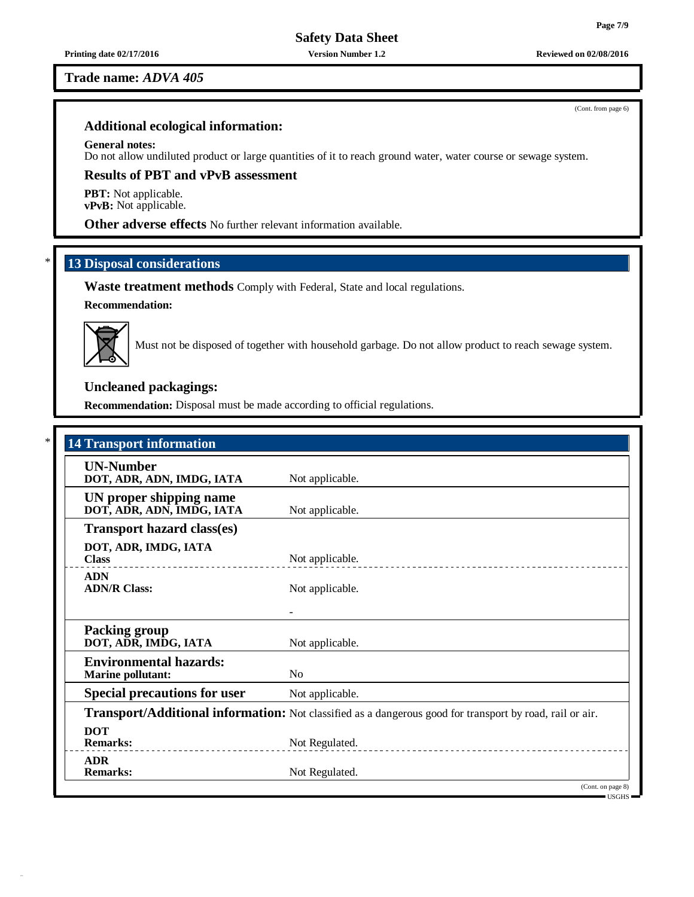# **Trade name:** *ADVA 405*

# **Additional ecological information:**

# **General notes:**

Do not allow undiluted product or large quantities of it to reach ground water, water course or sewage system.

# **Results of PBT and vPvB assessment**

**PBT:** Not applicable. **vPvB:** Not applicable.

**Other adverse effects** No further relevant information available.

# \* **13 Disposal considerations**

**Waste treatment methods** Comply with Federal, State and local regulations.

# **Recommendation:**



Must not be disposed of together with household garbage. Do not allow product to reach sewage system.

# **Uncleaned packagings:**

**Recommendation:** Disposal must be made according to official regulations.

| <b>UN-Number</b><br>DOT, ADR, ADN, IMDG, IATA                                                                                                          | Not applicable.                                                                                          |
|--------------------------------------------------------------------------------------------------------------------------------------------------------|----------------------------------------------------------------------------------------------------------|
| UN proper shipping name<br>DOT, ADR, ADN, IMDG, IATA                                                                                                   | Not applicable.                                                                                          |
| <b>Transport hazard class(es)</b>                                                                                                                      |                                                                                                          |
| DOT, ADR, IMDG, IATA<br><b>Class</b>                                                                                                                   | Not applicable.                                                                                          |
| <b>ADN</b><br><b>ADN/R Class:</b>                                                                                                                      | Not applicable.                                                                                          |
|                                                                                                                                                        |                                                                                                          |
| <b>Packing group</b><br>DOT, ADR, IMDG, IATA                                                                                                           | Not applicable.                                                                                          |
| <b>Environmental hazards:</b><br><b>Marine pollutant:</b>                                                                                              | No                                                                                                       |
| <b>Special precautions for user</b>                                                                                                                    | Not applicable.                                                                                          |
|                                                                                                                                                        | Transport/Additional information: Not classified as a dangerous good for transport by road, rail or air. |
| <b>DOT</b><br><b>Remarks:</b><br><u> 1986 - Jan Barbara, martin a shekara 1986 - 1987 - 1988 - 1989 - 1989 - 1989 - 1989 - 1989 - 1989 - 1989 - 19</u> | Not Regulated.                                                                                           |
| <b>ADR</b><br><b>Remarks:</b>                                                                                                                          | Not Regulated.                                                                                           |

**Page 7/9**

(Cont. from page 6)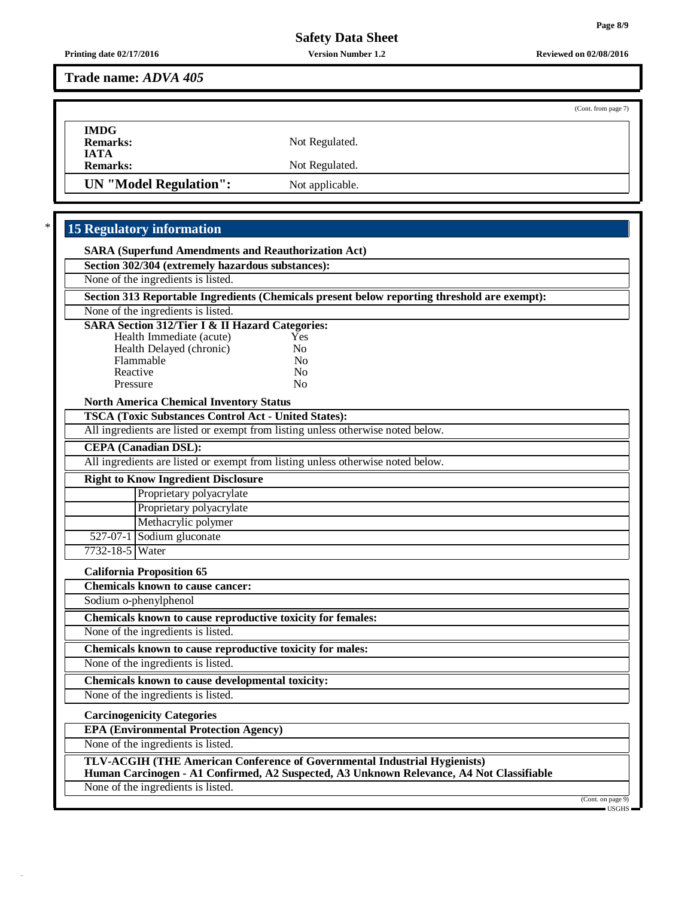**Printing date 02/17/2016 Version Number 1.2 Reviewed on 02/08/2016**

**Trade name:** *ADVA 405*

|                        |                 | (Cont. from page 7) |
|------------------------|-----------------|---------------------|
| <b>IMDG</b>            |                 |                     |
| <b>Remarks:</b>        | Not Regulated.  |                     |
| <b>IATA</b>            |                 |                     |
| <b>Remarks:</b>        | Not Regulated.  |                     |
| UN "Model Regulation": | Not applicable. |                     |

# \* **15 Regulatory information**

| <b>SARA (Superfund Amendments and Reauthorization Act)</b>                                                                                                            |                   |
|-----------------------------------------------------------------------------------------------------------------------------------------------------------------------|-------------------|
| Section 302/304 (extremely hazardous substances):                                                                                                                     |                   |
| None of the ingredients is listed.                                                                                                                                    |                   |
| Section 313 Reportable Ingredients (Chemicals present below reporting threshold are exempt):                                                                          |                   |
| None of the ingredients is listed.                                                                                                                                    |                   |
| <b>SARA Section 312/Tier I &amp; II Hazard Categories:</b>                                                                                                            |                   |
| Health Immediate (acute)<br>Yes<br>N <sub>0</sub>                                                                                                                     |                   |
| Health Delayed (chronic)<br>Flammable<br>N <sub>0</sub>                                                                                                               |                   |
| Reactive<br>N <sub>0</sub>                                                                                                                                            |                   |
| No<br>Pressure                                                                                                                                                        |                   |
| <b>North America Chemical Inventory Status</b>                                                                                                                        |                   |
| <b>TSCA (Toxic Substances Control Act - United States):</b>                                                                                                           |                   |
| All ingredients are listed or exempt from listing unless otherwise noted below.                                                                                       |                   |
| <b>CEPA</b> (Canadian DSL):                                                                                                                                           |                   |
| All ingredients are listed or exempt from listing unless otherwise noted below.                                                                                       |                   |
| <b>Right to Know Ingredient Disclosure</b>                                                                                                                            |                   |
| Proprietary polyacrylate                                                                                                                                              |                   |
| Proprietary polyacrylate                                                                                                                                              |                   |
| Methacrylic polymer                                                                                                                                                   |                   |
| 527-07-1 Sodium gluconate                                                                                                                                             |                   |
| 7732-18-5 Water                                                                                                                                                       |                   |
| <b>California Proposition 65</b>                                                                                                                                      |                   |
| <b>Chemicals known to cause cancer:</b>                                                                                                                               |                   |
| Sodium o-phenylphenol                                                                                                                                                 |                   |
| Chemicals known to cause reproductive toxicity for females:                                                                                                           |                   |
| None of the ingredients is listed.                                                                                                                                    |                   |
| Chemicals known to cause reproductive toxicity for males:                                                                                                             |                   |
| None of the ingredients is listed.                                                                                                                                    |                   |
| Chemicals known to cause developmental toxicity:                                                                                                                      |                   |
| None of the ingredients is listed.                                                                                                                                    |                   |
| <b>Carcinogenicity Categories</b>                                                                                                                                     |                   |
| <b>EPA (Environmental Protection Agency)</b>                                                                                                                          |                   |
| None of the ingredients is listed.                                                                                                                                    |                   |
| TLV-ACGIH (THE American Conference of Governmental Industrial Hygienists)<br>Human Carcinogen - A1 Confirmed, A2 Suspected, A3 Unknown Relevance, A4 Not Classifiable |                   |
| None of the ingredients is listed.                                                                                                                                    |                   |
|                                                                                                                                                                       | (Cont. on page 9) |
|                                                                                                                                                                       |                   |